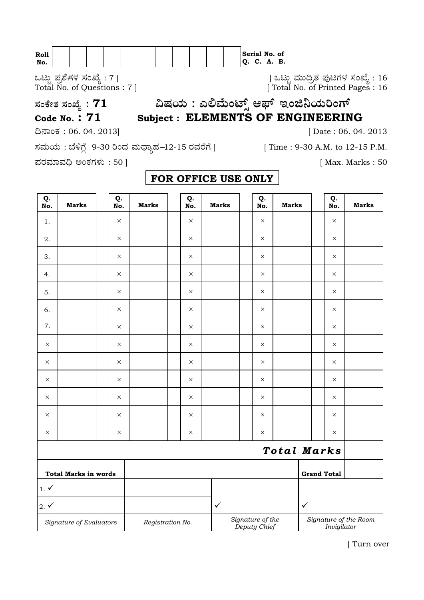| Roll |  |  |  |  |  |     |    | Serial No. of |    |
|------|--|--|--|--|--|-----|----|---------------|----|
| NO.  |  |  |  |  |  | IO. | J. | А.            | в. |

Jlflo Æ⁄√ÀÊ-V⁄◊⁄ —⁄MSÊ¿ : 7 ] [ Jlflo »⁄flfl¶√}⁄ Æ⁄'¥lV⁄◊⁄ —⁄MSÊ¿ : 16 Total No. of Questions : 7 ] [ Total No. of Printed Pages : 16

**—⁄MOÊfi}⁄ —⁄MSÊ¿ : <sup>71</sup>…Œ⁄æ⁄fl : GΔ»ÊflMmÈ" A±È BMf¨æ⁄fl¬MVÈ Code No. : 71 Subject : ELEMENTS OF ENGINEERING**

¶´¤MO⁄ : 06. 04. 2013] [ Date : 06. 04. 2013

ಸಮಯ : ಬೆಳಿಗ್ಗೆ 9-30 ರಿಂದ ಮಧ್ಯಾಹ−12-15 ರವರೆಗೆ ] [ Time : 9-30 A.M. to 12-15 P.M.

Æ⁄¡⁄»⁄·¤»⁄© @MO⁄V⁄◊⁄fl : 50 ] [ Max. Marks : 50

| Q.<br>No.                   | <b>Marks</b>            | Q.<br>No. | <b>Marks</b>                                                                                 | Q.<br>No. | <b>Marks</b> | Q.<br>No. | <b>Marks</b> | Q.<br>No.          | <b>Marks</b> |
|-----------------------------|-------------------------|-----------|----------------------------------------------------------------------------------------------|-----------|--------------|-----------|--------------|--------------------|--------------|
| $1.$                        |                         | $\times$  |                                                                                              | $\times$  |              | $\times$  |              | $\times$           |              |
| 2.                          |                         | $\times$  |                                                                                              | $\times$  |              | $\times$  |              | $\times$           |              |
| 3.                          |                         | $\times$  |                                                                                              | $\times$  |              | $\times$  |              | $\times$           |              |
| 4.                          |                         | $\times$  |                                                                                              | $\times$  |              | $\times$  |              | $\times$           |              |
| 5.                          |                         | $\times$  |                                                                                              | $\times$  |              | $\times$  |              | $\times$           |              |
| 6.                          |                         | $\times$  |                                                                                              | $\times$  |              | $\times$  |              | $\times$           |              |
| 7.                          |                         | $\times$  |                                                                                              | $\times$  |              | $\times$  |              | $\times$           |              |
| $\times$                    |                         | $\times$  |                                                                                              | $\times$  |              | $\times$  |              | $\times$           |              |
| X                           |                         | $\times$  |                                                                                              | $\times$  |              | X         |              | $\times$           |              |
| X                           |                         | ×         |                                                                                              | $\times$  |              | $\times$  |              | $\times$           |              |
| X                           |                         | $\times$  |                                                                                              | $\times$  |              | $\times$  |              | $\times$           |              |
| X                           |                         | ×         |                                                                                              | $\times$  |              | $\times$  |              | X                  |              |
| X                           |                         | ×         |                                                                                              | $\times$  |              | X         |              | X                  |              |
|                             |                         |           |                                                                                              |           |              |           | Total Marks  |                    |              |
| <b>Total Marks in words</b> |                         |           |                                                                                              |           |              |           |              | <b>Grand Total</b> |              |
| $1. \checkmark$             |                         |           |                                                                                              |           |              |           |              |                    |              |
| $2. \checkmark$             |                         |           |                                                                                              |           | $\checkmark$ |           | $\checkmark$ |                    |              |
|                             | Signature of Evaluators |           | Signature of the<br>Signature of the Room<br>Registration No.<br>Deputy Chief<br>Invigilator |           |              |           |              |                    |              |

## **FOR OFFICE USE ONLY**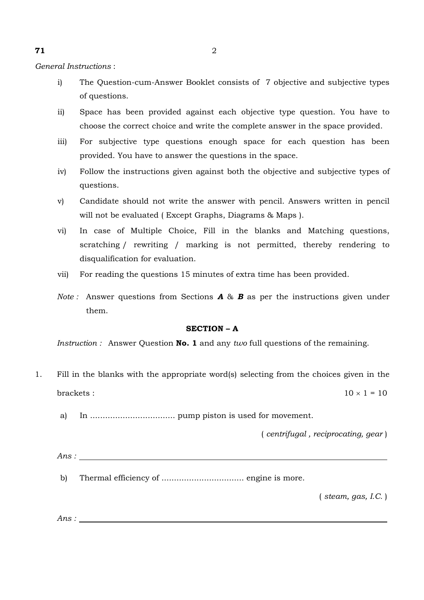*General Instructions* :

- i) The Question-cum-Answer Booklet consists of 7 objective and subjective types of questions.
- ii) Space has been provided against each objective type question. You have to choose the correct choice and write the complete answer in the space provided.
- iii) For subjective type questions enough space for each question has been provided. You have to answer the questions in the space.
- iv) Follow the instructions given against both the objective and subjective types of questions.
- v) Candidate should not write the answer with pencil. Answers written in pencil will not be evaluated ( Except Graphs, Diagrams & Maps ).
- vi) In case of Multiple Choice, Fill in the blanks and Matching questions, scratching / rewriting / marking is not permitted, thereby rendering to disqualification for evaluation.
- vii) For reading the questions 15 minutes of extra time has been provided.
- *Note :* Answer questions from Sections *A* & *B* as per the instructions given under them.

## **SECTION – A**

*Instruction :* Answer Question **No. 1** and any *two* full questions of the remaining.

- 1. Fill in the blanks with the appropriate word(s) selecting from the choices given in the brackets :  $10 \times 1 = 10$ 
	- a) In .................................. pump piston is used for movement.

( *centrifugal , reciprocating, gear* )

- *Ans :*
- b) Thermal efficiency of ................................. engine is more.

( *steam, gas, I.C.* )

*Ans :*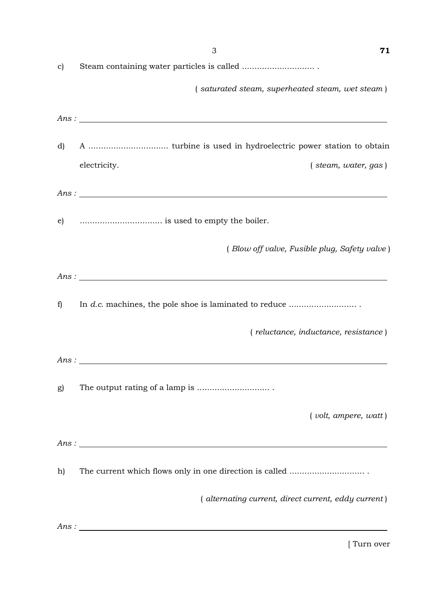|               | 3<br>71                                                                                                                                                                                                                                                                                        |
|---------------|------------------------------------------------------------------------------------------------------------------------------------------------------------------------------------------------------------------------------------------------------------------------------------------------|
| $\mathbf{c})$ |                                                                                                                                                                                                                                                                                                |
|               | (saturated steam, superheated steam, wet steam)                                                                                                                                                                                                                                                |
|               | Ans:                                                                                                                                                                                                                                                                                           |
| d)            |                                                                                                                                                                                                                                                                                                |
|               | electricity.<br>$($ steam, water, gas $)$                                                                                                                                                                                                                                                      |
|               | Ans: $\frac{1}{2}$ and $\frac{1}{2}$ and $\frac{1}{2}$ and $\frac{1}{2}$ and $\frac{1}{2}$ and $\frac{1}{2}$ and $\frac{1}{2}$ and $\frac{1}{2}$ and $\frac{1}{2}$ and $\frac{1}{2}$ and $\frac{1}{2}$ and $\frac{1}{2}$ and $\frac{1}{2}$ and $\frac{1}{2}$ and $\frac{1}{2}$ and $\frac{1}{$ |
| $\epsilon$ )  |                                                                                                                                                                                                                                                                                                |
|               | (Blow off valve, Fusible plug, Safety valve)                                                                                                                                                                                                                                                   |
|               | Ans:                                                                                                                                                                                                                                                                                           |
| f)            |                                                                                                                                                                                                                                                                                                |
|               | (reluctance, inductance, resistance)                                                                                                                                                                                                                                                           |
|               | Ans:                                                                                                                                                                                                                                                                                           |
| g)            |                                                                                                                                                                                                                                                                                                |
|               | (volt, ampere, wat)                                                                                                                                                                                                                                                                            |
|               |                                                                                                                                                                                                                                                                                                |
| h)            |                                                                                                                                                                                                                                                                                                |
|               | (alternating current, direct current, eddy current)                                                                                                                                                                                                                                            |
|               | Ans:                                                                                                                                                                                                                                                                                           |
|               |                                                                                                                                                                                                                                                                                                |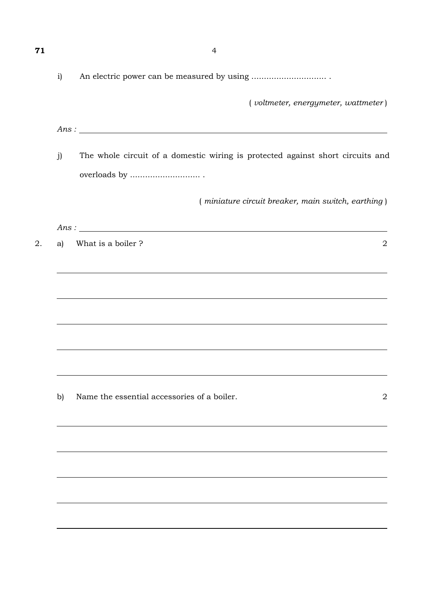|              | 4                                                                              |
|--------------|--------------------------------------------------------------------------------|
| $\mathbf{i}$ |                                                                                |
|              | $($ voltmeter, energymeter, wattmeter $)$                                      |
|              | Ans:                                                                           |
| j)           | The whole circuit of a domestic wiring is protected against short circuits and |
|              |                                                                                |
|              | (miniature circuit breaker, main switch, earthing)                             |
|              |                                                                                |
| a)           | What is a boiler ?<br>$\overline{2}$                                           |
|              |                                                                                |
|              |                                                                                |
|              |                                                                                |
|              |                                                                                |
|              |                                                                                |
| b)           | Name the essential accessories of a boiler.<br>$\overline{2}$                  |
|              |                                                                                |
|              |                                                                                |
|              |                                                                                |
|              |                                                                                |
|              |                                                                                |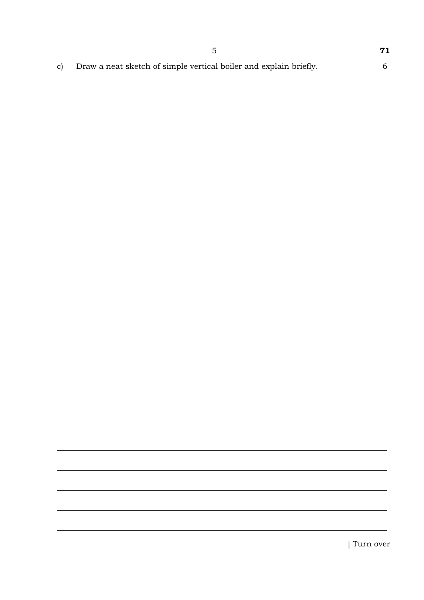c) Draw a neat sketch of simple vertical boiler and explain briefly. 6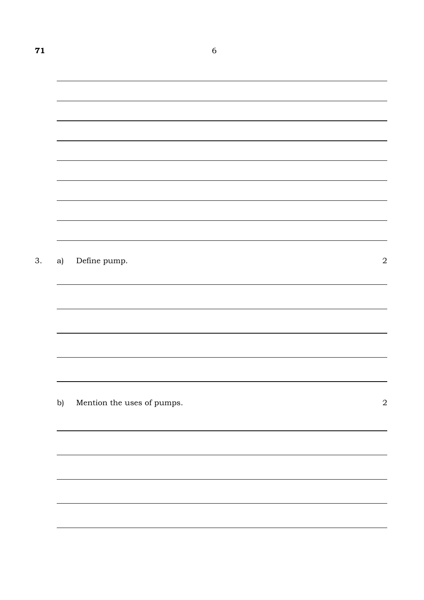| Define pump.<br>Mention the uses of pumps. |
|--------------------------------------------|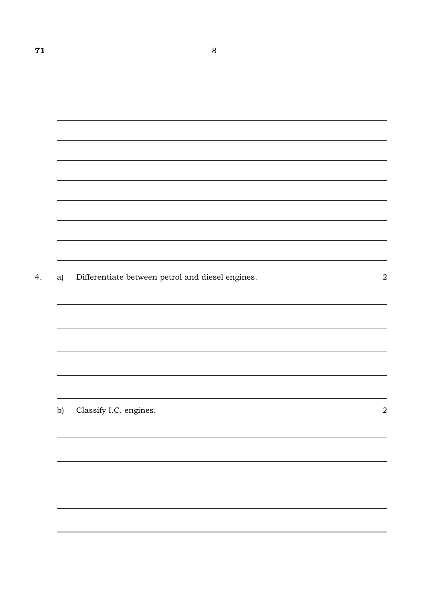| a) | Differentiate between petrol and diesel engines. |  |
|----|--------------------------------------------------|--|
|    |                                                  |  |
|    |                                                  |  |
|    |                                                  |  |
|    |                                                  |  |
|    |                                                  |  |
| b) | Classify I.C. engines.                           |  |
|    |                                                  |  |
|    |                                                  |  |
|    |                                                  |  |
|    |                                                  |  |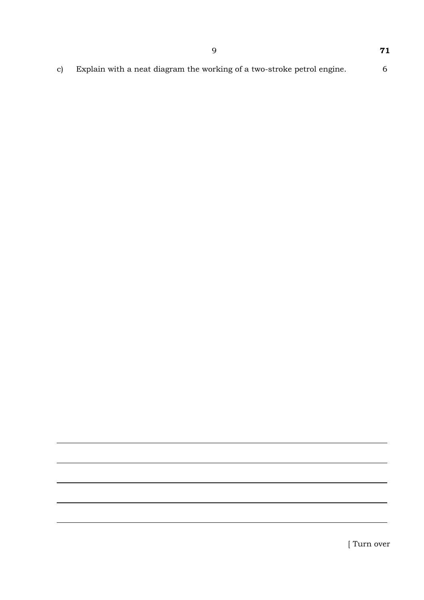c) Explain with a neat diagram the working of a two-stroke petrol engine. 6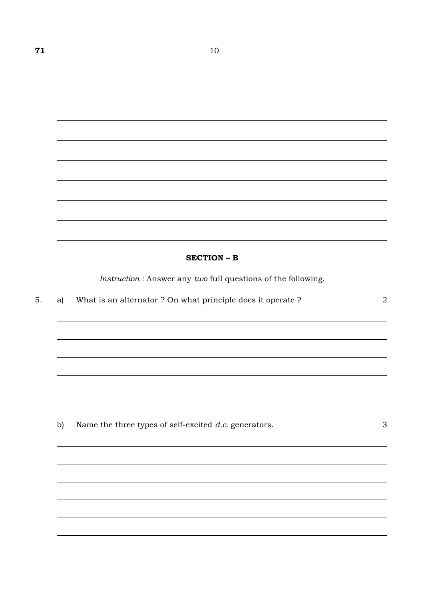## **SECTION – B**

*Instruction :* Answer any *two* full questions of the following.

<u> 1989 - Johann Stoff, amerikansk politiker (d. 1989)</u>

|  |  | a) What is an alternator? On what principle does it operate? |  |
|--|--|--------------------------------------------------------------|--|
|--|--|--------------------------------------------------------------|--|

b) Name the three types of self-excited *d.c.* generators. 3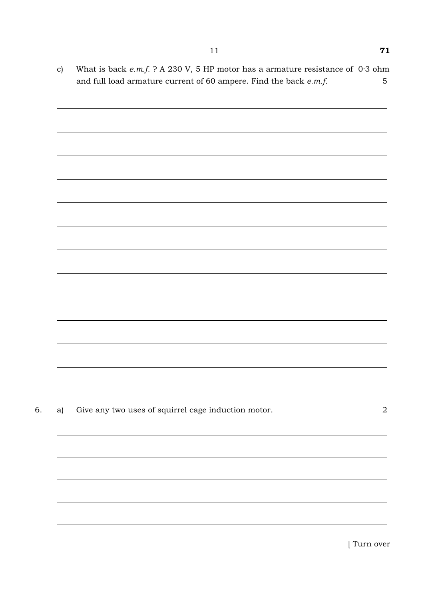c) What is back *e.m.f.* ? A 230 V, 5 HP motor has a armature resistance of 0·3 ohm and full load armature current of 60 ampere. Find the back *e.m.f.* 5

| a) | Give any two uses of squirrel cage induction motor. |  |
|----|-----------------------------------------------------|--|
|    |                                                     |  |
|    |                                                     |  |
|    |                                                     |  |
|    |                                                     |  |
|    |                                                     |  |
|    |                                                     |  |
|    |                                                     |  |
|    |                                                     |  |
|    |                                                     |  |
|    |                                                     |  |
|    |                                                     |  |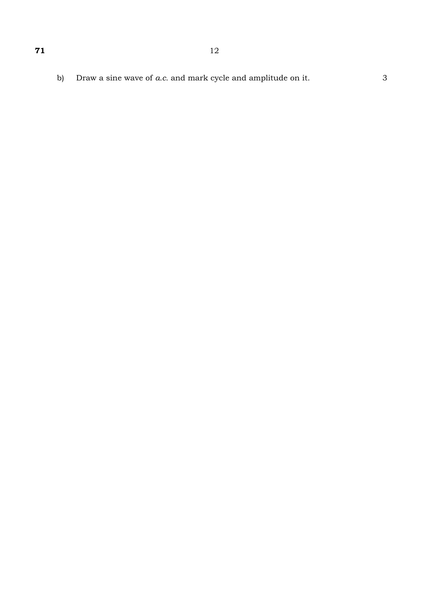Draw a sine wave of  $a.c.$  and mark cycle and amplitude on it. b)

 $\mathfrak{Z}$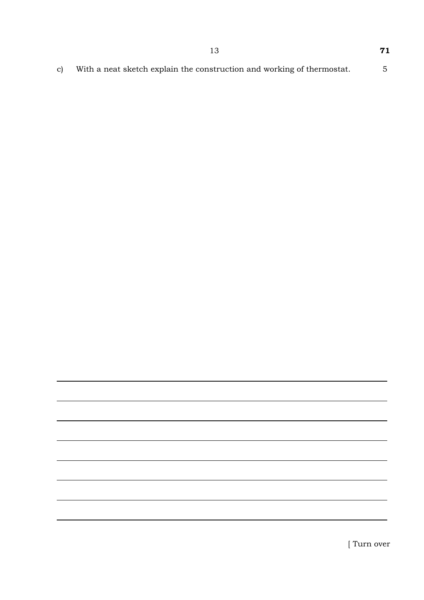With a neat sketch explain the construction and working of thermostat.  $\overline{5}$  $\mathbf{c})$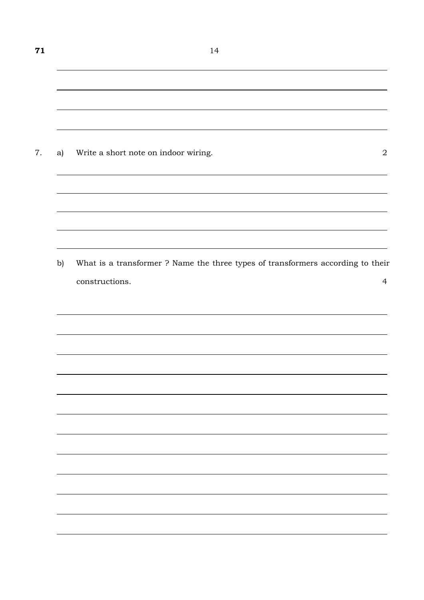| a) | Write a short note on indoor wiring.                                            |
|----|---------------------------------------------------------------------------------|
|    |                                                                                 |
| b) | What is a transformer ? Name the three types of transformers according to their |
|    | constructions.                                                                  |
|    |                                                                                 |
|    |                                                                                 |
|    |                                                                                 |
|    |                                                                                 |